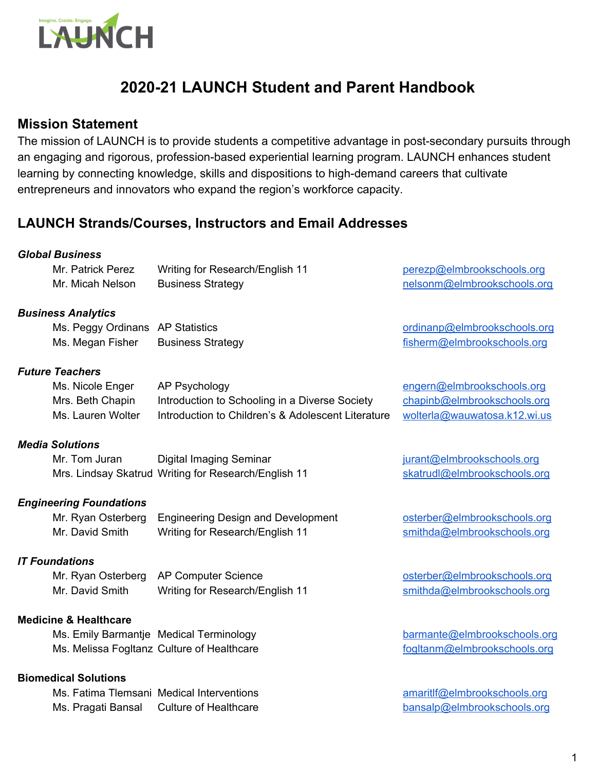

# **2020-21 LAUNCH Student and Parent Handbook**

## **Mission Statement**

The mission of LAUNCH is to provide students a competitive advantage in post-secondary pursuits through an engaging and rigorous, profession-based experiential learning program. LAUNCH enhances student learning by connecting knowledge, skills and dispositions to high-demand careers that cultivate entrepreneurs and innovators who expand the region's workforce capacity.

## **LAUNCH Strands/Courses, Instructors and Email Addresses**

#### *Global Business*

| Mr. Patrick Perez | Writing for Research/English 11 | perezp@elmbrookschools.org  |
|-------------------|---------------------------------|-----------------------------|
| Mr. Micah Nelson  | <b>Business Strategy</b>        | nelsonm@elmbrookschools.org |

#### *Business Analytics*

Ms. Peggy Ordinans AP Statistics and the control of the control ordinance ordinance of the control of the control of the control of the control of the control of the control of the control of the control of the control of Ms. Megan Fisher Business Strategy **Example 20** and the strategy [fisherm@elmbrookschools.org](mailto:fisherm@elmbrookschools.org)

#### *Future Teachers*

| Ms. Nicole Enger  | AP Psychology                                      | engern@        |
|-------------------|----------------------------------------------------|----------------|
| Mrs. Beth Chapin  | Introduction to Schooling in a Diverse Society     | <b>chapinb</b> |
| Ms. Lauren Wolter | Introduction to Children's & Adolescent Literature | wolterla       |

#### *Media Solutions*

Mr. Tom Juran Digital Imaging Seminar in the state of the state of the products of the Digital Imaging Seminar Mrs. Lindsay Skatrud Writing for Research/English 11 [skatrudl@elmbrookschools.org](mailto:skatrudl@elmbrookschools.org)

#### *Engineering Foundations*

|                 | Mr. Ryan Osterberg Engineering Design and Development |
|-----------------|-------------------------------------------------------|
| Mr. David Smith | Writing for Research/English 11                       |

#### *IT Foundations*

Mr. Ryan Osterberg AP Computer Science **osterberg and a state of the Contract Contract** [osterber@elmbrookschools.org](mailto:osterbergr@elmbrookschools.org) Mr. David Smith Writing for Research/English 11 [smithda@elmbrookschools.org](mailto:smithda@elmbrookschools.org)

#### **Medicine & Healthcare**

Ms. Emily Barmantje Medical Terminology [barmante@elmbrookschools.org](mailto:barmante@elmbrookschools.org) Ms. Melissa Fogltanz Culture of Healthcare for the [fogltanm@elmbrookschools.org](mailto:fogltanm@elmbrookschools.org)

#### **Biomedical Solutions**

Ms. Fatima Tlemsani Medical Interventions and [amaritlf@elmbrookschools.org](mailto:amaritlf@elmbrookschools.org) Ms. Pragati Bansal Culture of Healthcare [bansalp@elmbrookschools.org](mailto:bansalp@elmbrookschools.org)

Delmbrookschools.org @elmbrookschools.org  $@$ wauwatosa.k12.wi.us

[osterber@elmbrookschools.org](mailto:osterbergr@elmbrookschools.org) [smithda@elmbrookschools.org](mailto:smithda@elmbrookschools.org)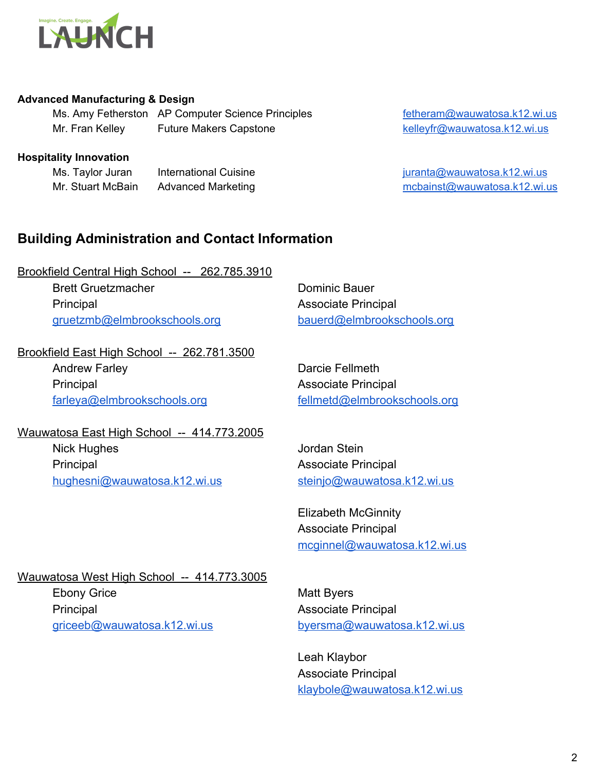

#### **Advanced Manufacturing & Design**

Ms. Amy Fetherston AP Computer Science Principles [fetheram@wauwatosa.k12.wi.us](mailto:fetheram@wauwatosa.k12.wi.us) Mr. Fran Kelley Future Makers Capstone **Kelleyfr@wauwatosa.k12.wi.us** 

#### **Hospitality Innovation**

Ms. Taylor Juran International Cuisine international Cuisine international state in the state of the state of the state international Cuisine international Cuisine international contract international cuisine international Mr. Stuart McBain Advanced Marketing metal metal metal metal metal metal metal metal metal metal metal metal m

## **Building Administration and Contact Information**

Brookfield Central High School -- 262.785.3910 Brett Gruetzmacher **Dominic Bauer** Dominic Bauer Principal Associate Principal [gruetzmb@elmbrookschools.org](mailto:gruetzmb@elmbrookschools.org) [bauerd@elmbrookschools.org](mailto:bauerd@elmbrookschools.org)

Brookfield East High School -- 262.781.3500 Andrew Farley **Darcie Fellmeth** Principal Associate Principal [farleya@elmbrookschools.org](mailto:farleya@elmbrookschools.org) [fellmetd@elmbrookschools.org](mailto:fellmetd@elmbrookschools.org)

Wauwatosa East High School -- 414.773.2005 Nick Hughes **Nick Hughes** Jordan Stein Principal Associate Principal [hughesni@wauwatosa.k12.wi.us](mailto:hughesni@wauwatosa.k12.wi.us) [steinjo@wauwatosa.k12.wi.us](mailto:steinjo@wauwatosa.k12.wi.us)

Elizabeth McGinnity Associate Principal [mcginnel@wauwatosa.k12.wi.us](mailto:mcginnel@wauwatosa.k12.wi.us)

Wauwatosa West High School -- 414.773.3005 Ebony Grice Matt Byers Principal Associate Principal [griceeb@wauwatosa.k12.wi.us](mailto:griceeb@wauwatosa.k12.wi.us) [byersma@wauwatosa.k12.wi.us](mailto:byersma@wauwatosa.k12.wi.us)

Leah Klaybor Associate Principal [klaybole@wauwatosa.k12.wi.us](mailto:klaybole@wauwatosa.k12.wi.us)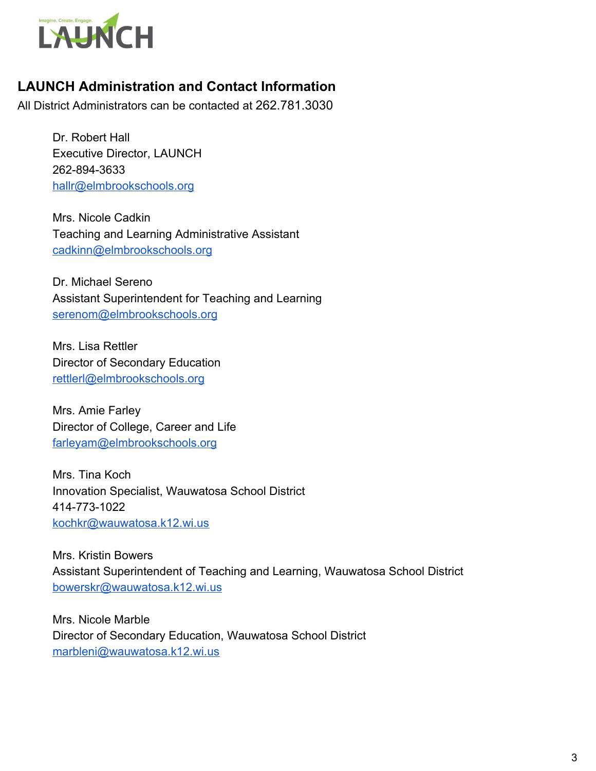

## **LAUNCH Administration and Contact Information**

All District Administrators can be contacted at 262.781.3030

Dr. Robert Hall Executive Director, LAUNCH 262-894-3633 [hallr@elmbrookschools.org](mailto:hallr@elmbrookschools.org)

Mrs. Nicole Cadkin Teaching and Learning Administrative Assistant [cadkinn@elmbrookschools.org](mailto:cadkinn@elmbrookschools.org)

Dr. Michael Sereno Assistant Superintendent for Teaching and Learning [serenom@elmbrookschools.org](mailto:serenom@elmbrookschools.org)

Mrs. Lisa Rettler Director of Secondary Education [rettlerl@elmbrookschools.org](mailto:rettlerl@elmbrookschools.org)

Mrs. Amie Farley Director of College, Career and Life [farleyam@elmbrookschools.org](mailto:farleyam@elmbrookschools.org)

Mrs. Tina Koch Innovation Specialist, Wauwatosa School District 414-773-1022 [kochkr@wauwatosa.k12.wi.us](mailto:kochkr@wauwatosa.k12.wi.us)

Mrs. Kristin Bowers Assistant Superintendent of Teaching and Learning, Wauwatosa School District [bowerskr@wauwatosa.k12.wi.us](mailto:bowerskr@wauwatosa.k12.wi.us)

Mrs. Nicole Marble Director of Secondary Education, Wauwatosa School District [marbleni@wauwatosa.k12.wi.us](mailto:marbleni@wauwatosa.k12.wi.us)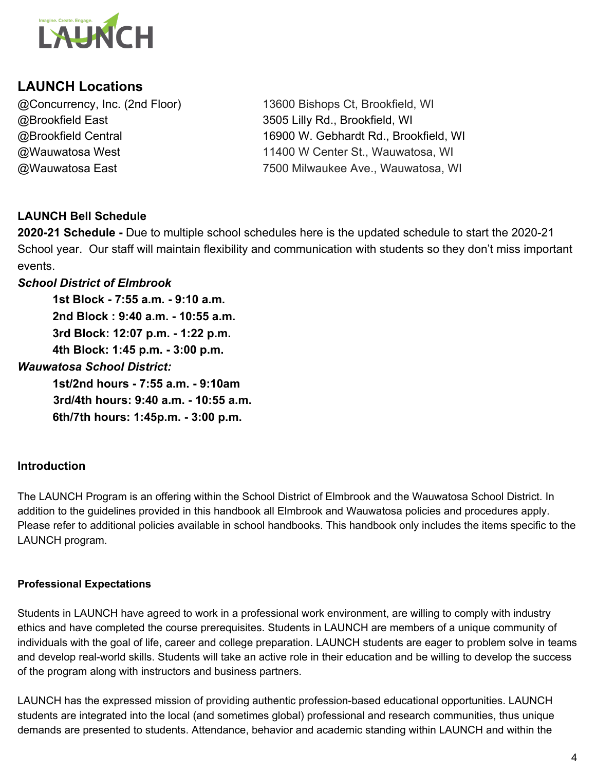

## **LAUNCH Locations**

@Brookfield East 3505 Lilly Rd., Brookfield, WI

@Concurrency, Inc. (2nd Floor) 13600 Bishops Ct, Brookfield, WI @Brookfield Central 16900 W. Gebhardt Rd., Brookfield, WI @Wauwatosa West 11400 W Center St., Wauwatosa, WI @Wauwatosa East 7500 Milwaukee Ave., Wauwatosa, WI

## **LAUNCH Bell Schedule**

**2020-21 Schedule -** Due to multiple school schedules here is the updated schedule to start the 2020-21 School year. Our staff will maintain flexibility and communication with students so they don't miss important events.

### *School District of Elmbrook*

**1st Block - 7:55 a.m. - 9:10 a.m. 2nd Block : 9:40 a.m. - 10:55 a.m. 3rd Block: 12:07 p.m. - 1:22 p.m. 4th Block: 1:45 p.m. - 3:00 p.m.** *Wauwatosa School District:* **1st/2nd hours - 7:55 a.m. - 9:10am 3rd/4th hours: 9:40 a.m. - 10:55 a.m.**

**6th/7th hours: 1:45p.m. - 3:00 p.m.**

### **Introduction**

The LAUNCH Program is an offering within the School District of Elmbrook and the Wauwatosa School District. In addition to the guidelines provided in this handbook all Elmbrook and Wauwatosa policies and procedures apply. Please refer to additional policies available in school handbooks. This handbook only includes the items specific to the LAUNCH program.

#### **Professional Expectations**

Students in LAUNCH have agreed to work in a professional work environment, are willing to comply with industry ethics and have completed the course prerequisites. Students in LAUNCH are members of a unique community of individuals with the goal of life, career and college preparation. LAUNCH students are eager to problem solve in teams and develop real-world skills. Students will take an active role in their education and be willing to develop the success of the program along with instructors and business partners.

LAUNCH has the expressed mission of providing authentic profession-based educational opportunities. LAUNCH students are integrated into the local (and sometimes global) professional and research communities, thus unique demands are presented to students. Attendance, behavior and academic standing within LAUNCH and within the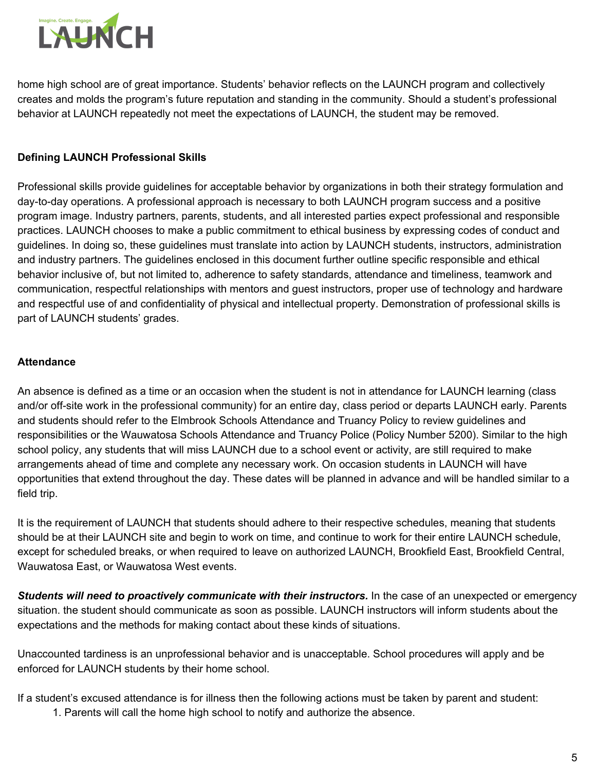

home high school are of great importance. Students' behavior reflects on the LAUNCH program and collectively creates and molds the program's future reputation and standing in the community. Should a student's professional behavior at LAUNCH repeatedly not meet the expectations of LAUNCH, the student may be removed.

### **Defining LAUNCH Professional Skills**

Professional skills provide guidelines for acceptable behavior by organizations in both their strategy formulation and day-to-day operations. A professional approach is necessary to both LAUNCH program success and a positive program image. Industry partners, parents, students, and all interested parties expect professional and responsible practices. LAUNCH chooses to make a public commitment to ethical business by expressing codes of conduct and guidelines. In doing so, these guidelines must translate into action by LAUNCH students, instructors, administration and industry partners. The guidelines enclosed in this document further outline specific responsible and ethical behavior inclusive of, but not limited to, adherence to safety standards, attendance and timeliness, teamwork and communication, respectful relationships with mentors and guest instructors, proper use of technology and hardware and respectful use of and confidentiality of physical and intellectual property. Demonstration of professional skills is part of LAUNCH students' grades.

#### **Attendance**

An absence is defined as a time or an occasion when the student is not in attendance for LAUNCH learning (class and/or off-site work in the professional community) for an entire day, class period or departs LAUNCH early. Parents and students should refer to the Elmbrook Schools Attendance and Truancy Policy to review guidelines and responsibilities or the Wauwatosa Schools Attendance and Truancy Police (Policy Number 5200). Similar to the high school policy, any students that will miss LAUNCH due to a school event or activity, are still required to make arrangements ahead of time and complete any necessary work. On occasion students in LAUNCH will have opportunities that extend throughout the day. These dates will be planned in advance and will be handled similar to a field trip.

It is the requirement of LAUNCH that students should adhere to their respective schedules, meaning that students should be at their LAUNCH site and begin to work on time, and continue to work for their entire LAUNCH schedule, except for scheduled breaks, or when required to leave on authorized LAUNCH, Brookfield East, Brookfield Central, Wauwatosa East, or Wauwatosa West events.

*Students will need to proactively communicate with their instructors.* In the case of an unexpected or emergency situation. the student should communicate as soon as possible. LAUNCH instructors will inform students about the expectations and the methods for making contact about these kinds of situations.

Unaccounted tardiness is an unprofessional behavior and is unacceptable. School procedures will apply and be enforced for LAUNCH students by their home school.

If a student's excused attendance is for illness then the following actions must be taken by parent and student: 1. Parents will call the home high school to notify and authorize the absence.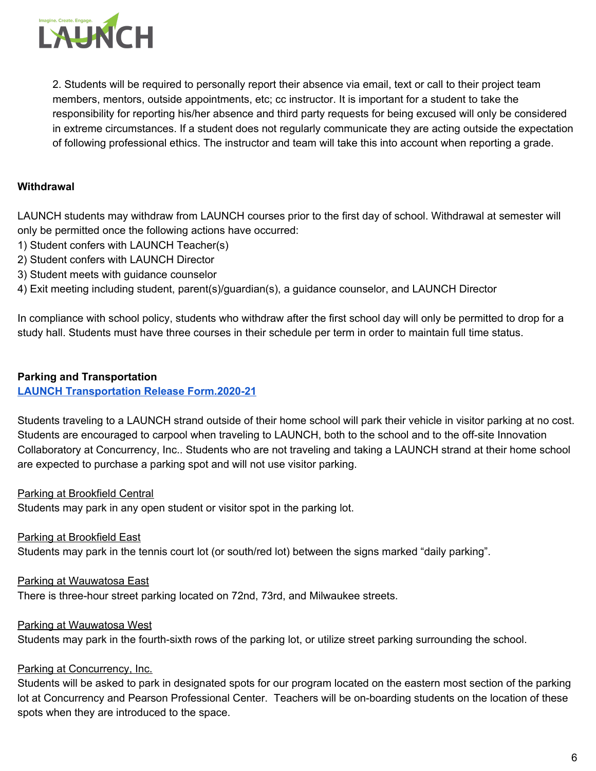

2. Students will be required to personally report their absence via email, text or call to their project team members, mentors, outside appointments, etc; cc instructor. It is important for a student to take the responsibility for reporting his/her absence and third party requests for being excused will only be considered in extreme circumstances. If a student does not regularly communicate they are acting outside the expectation of following professional ethics. The instructor and team will take this into account when reporting a grade.

#### **Withdrawal**

LAUNCH students may withdraw from LAUNCH courses prior to the first day of school. Withdrawal at semester will only be permitted once the following actions have occurred:

- 1) Student confers with LAUNCH Teacher(s)
- 2) Student confers with LAUNCH Director
- 3) Student meets with guidance counselor

4) Exit meeting including student, parent(s)/guardian(s), a guidance counselor, and LAUNCH Director

In compliance with school policy, students who withdraw after the first school day will only be permitted to drop for a study hall. Students must have three courses in their schedule per term in order to maintain full time status.

#### **Parking and Transportation**

#### **LAUNCH [Transportation](https://docs.google.com/document/d/1wW_pWuoSqip6dn7GTIqPthyQwjX-FbOwQKI0UeXF_Lo/edit?ts=5f3c700f) Release Form.2020-21**

Students traveling to a LAUNCH strand outside of their home school will park their vehicle in visitor parking at no cost. Students are encouraged to carpool when traveling to LAUNCH, both to the school and to the off-site Innovation Collaboratory at Concurrency, Inc.. Students who are not traveling and taking a LAUNCH strand at their home school are expected to purchase a parking spot and will not use visitor parking.

Parking at Brookfield Central

Students may park in any open student or visitor spot in the parking lot.

Parking at Brookfield East Students may park in the tennis court lot (or south/red lot) between the signs marked "daily parking".

Parking at Wauwatosa East There is three-hour street parking located on 72nd, 73rd, and Milwaukee streets.

Parking at Wauwatosa West Students may park in the fourth-sixth rows of the parking lot, or utilize street parking surrounding the school.

#### Parking at Concurrency, Inc.

Students will be asked to park in designated spots for our program located on the eastern most section of the parking lot at Concurrency and Pearson Professional Center. Teachers will be on-boarding students on the location of these spots when they are introduced to the space.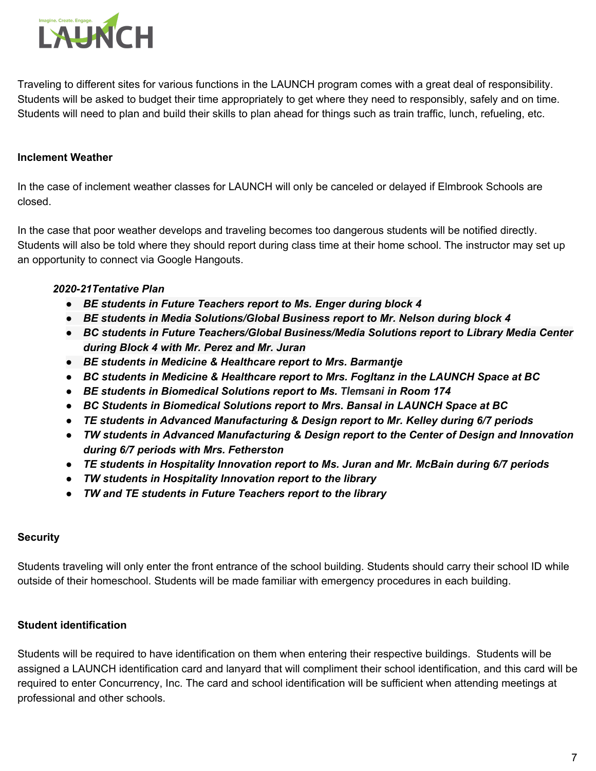

Traveling to different sites for various functions in the LAUNCH program comes with a great deal of responsibility. Students will be asked to budget their time appropriately to get where they need to responsibly, safely and on time. Students will need to plan and build their skills to plan ahead for things such as train traffic, lunch, refueling, etc.

#### **Inclement Weather**

In the case of inclement weather classes for LAUNCH will only be canceled or delayed if Elmbrook Schools are closed.

In the case that poor weather develops and traveling becomes too dangerous students will be notified directly. Students will also be told where they should report during class time at their home school. The instructor may set up an opportunity to connect via Google Hangouts.

#### *2020-21Tentative Plan*

- *● BE students in Future Teachers report to Ms. Enger during block 4*
- *● BE students in Media Solutions/Global Business report to Mr. Nelson during block 4*
- *● BC students in Future Teachers/Global Business/Media Solutions report to Library Media Center during Block 4 with Mr. Perez and Mr. Juran*
- *● BE students in Medicine & Healthcare report to Mrs. Barmantje*
- *● BC students in Medicine & Healthcare report to Mrs. Fogltanz in the LAUNCH Space at BC*
- *● BE students in Biomedical Solutions report to Ms. Tlemsani in Room 174*
- *● BC Students in Biomedical Solutions report to Mrs. Bansal in LAUNCH Space at BC*
- *● TE students in Advanced Manufacturing & Design report to Mr. Kelley during 6/7 periods*
- *● TW students in Advanced Manufacturing & Design report to the Center of Design and Innovation during 6/7 periods with Mrs. Fetherston*
- *● TE students in Hospitality Innovation report to Ms. Juran and Mr. McBain during 6/7 periods*
- *● TW students in Hospitality Innovation report to the library*
- *● TW and TE students in Future Teachers report to the library*

#### **Security**

Students traveling will only enter the front entrance of the school building. Students should carry their school ID while outside of their homeschool. Students will be made familiar with emergency procedures in each building.

#### **Student identification**

Students will be required to have identification on them when entering their respective buildings. Students will be assigned a LAUNCH identification card and lanyard that will compliment their school identification, and this card will be required to enter Concurrency, Inc. The card and school identification will be sufficient when attending meetings at professional and other schools.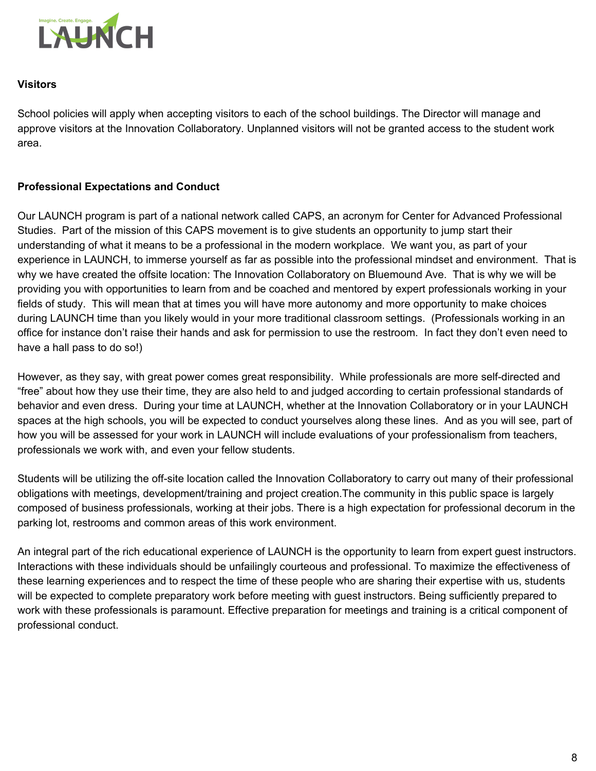

#### **Visitors**

School policies will apply when accepting visitors to each of the school buildings. The Director will manage and approve visitors at the Innovation Collaboratory. Unplanned visitors will not be granted access to the student work area.

#### **Professional Expectations and Conduct**

Our LAUNCH program is part of a national network called CAPS, an acronym for Center for Advanced Professional Studies. Part of the mission of this CAPS movement is to give students an opportunity to jump start their understanding of what it means to be a professional in the modern workplace. We want you, as part of your experience in LAUNCH, to immerse yourself as far as possible into the professional mindset and environment. That is why we have created the offsite location: The Innovation Collaboratory on Bluemound Ave. That is why we will be providing you with opportunities to learn from and be coached and mentored by expert professionals working in your fields of study. This will mean that at times you will have more autonomy and more opportunity to make choices during LAUNCH time than you likely would in your more traditional classroom settings. (Professionals working in an office for instance don't raise their hands and ask for permission to use the restroom. In fact they don't even need to have a hall pass to do so!)

However, as they say, with great power comes great responsibility. While professionals are more self-directed and "free" about how they use their time, they are also held to and judged according to certain professional standards of behavior and even dress. During your time at LAUNCH, whether at the Innovation Collaboratory or in your LAUNCH spaces at the high schools, you will be expected to conduct yourselves along these lines. And as you will see, part of how you will be assessed for your work in LAUNCH will include evaluations of your professionalism from teachers, professionals we work with, and even your fellow students.

Students will be utilizing the off-site location called the Innovation Collaboratory to carry out many of their professional obligations with meetings, development/training and project creation.The community in this public space is largely composed of business professionals, working at their jobs. There is a high expectation for professional decorum in the parking lot, restrooms and common areas of this work environment.

An integral part of the rich educational experience of LAUNCH is the opportunity to learn from expert guest instructors. Interactions with these individuals should be unfailingly courteous and professional. To maximize the effectiveness of these learning experiences and to respect the time of these people who are sharing their expertise with us, students will be expected to complete preparatory work before meeting with guest instructors. Being sufficiently prepared to work with these professionals is paramount. Effective preparation for meetings and training is a critical component of professional conduct.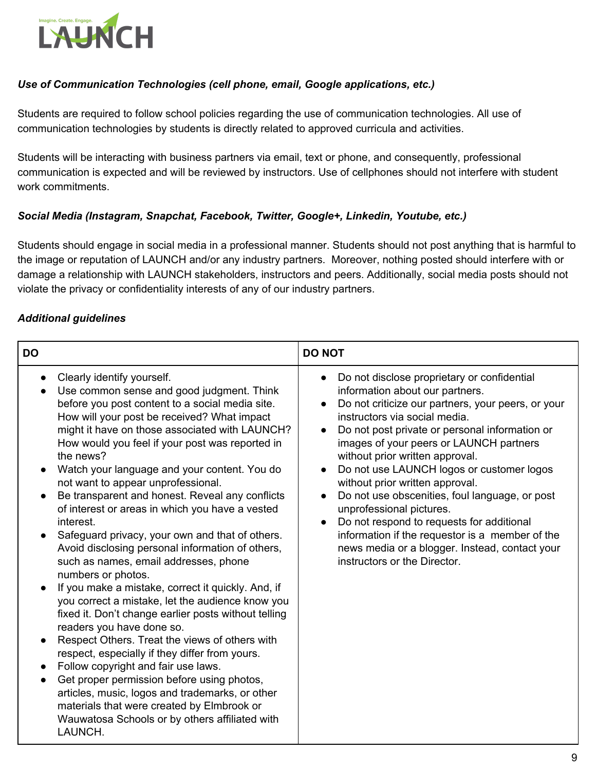

#### *Use of Communication Technologies (cell phone, email, Google applications, etc.)*

Students are required to follow school policies regarding the use of communication technologies. All use of communication technologies by students is directly related to approved curricula and activities.

Students will be interacting with business partners via email, text or phone, and consequently, professional communication is expected and will be reviewed by instructors. Use of cellphones should not interfere with student work commitments.

#### *Social Media (Instagram, Snapchat, Facebook, Twitter, Google+, Linkedin, Youtube, etc.)*

Students should engage in social media in a professional manner. Students should not post anything that is harmful to the image or reputation of LAUNCH and/or any industry partners. Moreover, nothing posted should interfere with or damage a relationship with LAUNCH stakeholders, instructors and peers. Additionally, social media posts should not violate the privacy or confidentiality interests of any of our industry partners.

#### *Additional guidelines*

| <b>DO</b>                                                                                                                                                                                                                                                                                                                                                                                                                                                                                                                                                                                                                                                                                                                                                                                                                                                                                                                                                                                                                                                                                                                                                                                                                                     | <b>DO NOT</b>                                                                                                                                                                                                                                                                                                                                                                                                                                                                                                                                                                                                                                                                                                                       |
|-----------------------------------------------------------------------------------------------------------------------------------------------------------------------------------------------------------------------------------------------------------------------------------------------------------------------------------------------------------------------------------------------------------------------------------------------------------------------------------------------------------------------------------------------------------------------------------------------------------------------------------------------------------------------------------------------------------------------------------------------------------------------------------------------------------------------------------------------------------------------------------------------------------------------------------------------------------------------------------------------------------------------------------------------------------------------------------------------------------------------------------------------------------------------------------------------------------------------------------------------|-------------------------------------------------------------------------------------------------------------------------------------------------------------------------------------------------------------------------------------------------------------------------------------------------------------------------------------------------------------------------------------------------------------------------------------------------------------------------------------------------------------------------------------------------------------------------------------------------------------------------------------------------------------------------------------------------------------------------------------|
| Clearly identify yourself.<br>Use common sense and good judgment. Think<br>before you post content to a social media site.<br>How will your post be received? What impact<br>might it have on those associated with LAUNCH?<br>How would you feel if your post was reported in<br>the news?<br>Watch your language and your content. You do<br>not want to appear unprofessional.<br>Be transparent and honest. Reveal any conflicts<br>$\bullet$<br>of interest or areas in which you have a vested<br>interest.<br>Safeguard privacy, your own and that of others.<br>Avoid disclosing personal information of others,<br>such as names, email addresses, phone<br>numbers or photos.<br>If you make a mistake, correct it quickly. And, if<br>you correct a mistake, let the audience know you<br>fixed it. Don't change earlier posts without telling<br>readers you have done so.<br>Respect Others. Treat the views of others with<br>respect, especially if they differ from yours.<br>Follow copyright and fair use laws.<br>Get proper permission before using photos,<br>articles, music, logos and trademarks, or other<br>materials that were created by Elmbrook or<br>Wauwatosa Schools or by others affiliated with<br>LAUNCH. | Do not disclose proprietary or confidential<br>$\bullet$<br>information about our partners.<br>Do not criticize our partners, your peers, or your<br>$\bullet$<br>instructors via social media.<br>Do not post private or personal information or<br>$\bullet$<br>images of your peers or LAUNCH partners<br>without prior written approval.<br>Do not use LAUNCH logos or customer logos<br>$\bullet$<br>without prior written approval.<br>Do not use obscenities, foul language, or post<br>$\bullet$<br>unprofessional pictures.<br>Do not respond to requests for additional<br>$\bullet$<br>information if the requestor is a member of the<br>news media or a blogger. Instead, contact your<br>instructors or the Director. |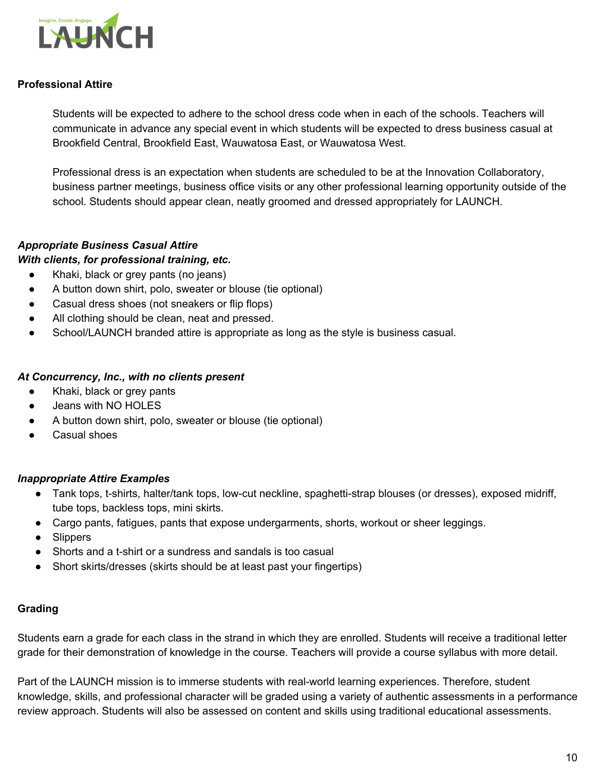

#### **Professional Attire**

Students will be expected to adhere to the school dress code when in each of the schools. Teachers will communicate in advance any special event in which students will be expected to dress business casual at Brookfield Central, Brookfield East, Wauwatosa East, or Wauwatosa West.

Professional dress is an expectation when students are scheduled to be at the Innovation Collaboratory, business partner meetings, business office visits or any other professional learning opportunity outside of the school. Students should appear clean, neatly groomed and dressed appropriately for LAUNCH.

#### *Appropriate Business Casual Attire*

#### *With clients, for professional training, etc.*

- Khaki, black or grey pants (no jeans)
- A button down shirt, polo, sweater or blouse (tie optional)
- Casual dress shoes (not sneakers or flip flops)
- All clothing should be clean, neat and pressed.
- School/LAUNCH branded attire is appropriate as long as the style is business casual.

#### *At Concurrency, Inc., with no clients present*

- Khaki, black or grey pants
- Jeans with NO HOLES
- A button down shirt, polo, sweater or blouse (tie optional)
- Casual shoes

#### *Inappropriate Attire Examples*

- Tank tops, t-shirts, halter/tank tops, low-cut neckline, spaghetti-strap blouses (or dresses), exposed midriff, tube tops, backless tops, mini skirts.
- Cargo pants, fatigues, pants that expose undergarments, shorts, workout or sheer leggings.
- Slippers
- Shorts and a t-shirt or a sundress and sandals is too casual
- Short skirts/dresses (skirts should be at least past your fingertips)

#### **Grading**

Students earn a grade for each class in the strand in which they are enrolled. Students will receive a traditional letter grade for their demonstration of knowledge in the course. Teachers will provide a course syllabus with more detail.

Part of the LAUNCH mission is to immerse students with real-world learning experiences. Therefore, student knowledge, skills, and professional character will be graded using a variety of authentic assessments in a performance review approach. Students will also be assessed on content and skills using traditional educational assessments.